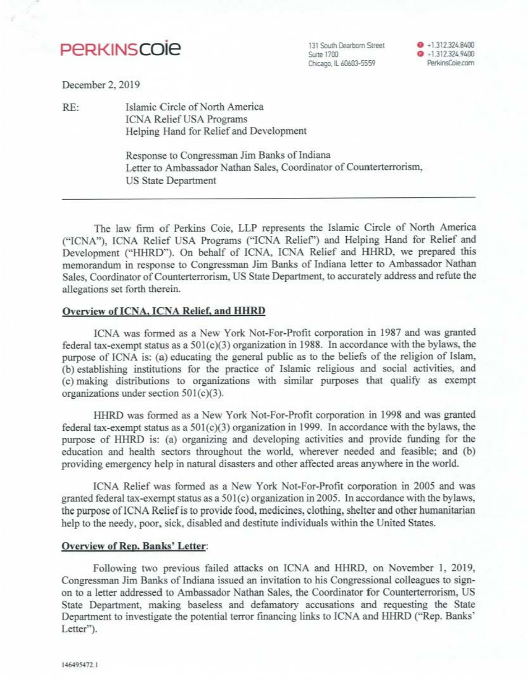# **PeRKINSCOie**

131 South Dearborn Street Suite 1700 Chicago. IL 60603-5559

 $+1.312.324.8400$ **0** •1.312.324.9400 PerkinsCoie.com

December 2, 2019

RE: Islamic Circle of North America ICNA Relief USA Programs Helping Hand for Relief and Development

> Response to Congressman Jim Banks of Indiana Letter to Ambassador Nathan Sales, Coordinator of Counterterrorism. US State Department

The law firm of Perkins Coie, LLP represents the Islamic Circle of North America ("ICNA"), ICNA Relief USA Programs ("ICNA Relief') and Helping Hand for Relief and Development ("HHRD"). On behalf of ICNA, ICNA Relief and HHRD, we prepared this memorandum in response to Congressman Jim Banks of Indiana letter to Ambassador Nathan Sales, Coordinator of Counterterrorism, US State Department, to accurately address and refute the allegations set forth therein.

#### Overview of ICNA, ICNA Relief, and HHRD

ICNA was formed as a New York Not-For-Profit corporation in 1987 and was granted federal tax-exempt status as a  $501(c)(3)$  organization in 1988. In accordance with the bylaws, the purpose of JCNA is: (a) educating the general public as to the beliefs of the religion of Islam, (b) establishing institutions for the practice of Islamic religious and social activities, and (c) making distributions to organizations with similar purposes that qualify as exempt organizations under section  $501(c)(3)$ .

HHRD was formed as a New York Not-For-Profit corporation in 1998 and was granted federal tax-exempt status as a  $501(c)(3)$  organization in 1999. In accordance with the bylaws, the purpose of HHRD is: (a) organizing and developing activities and provide funding for the education and health sectors throughout the world, wherever needed and feasible; and (h) providing emergency help in natural disasters and other affected areas anywhere in the world.

ICNA Relief was formed as a New York Not-For-Profit corporation in 2005 and was granted federal tax-exempt status as a 501(c) organization in 2005. In accordance with the bylaws, the purpose of ICNA Relief is to provide food, medicines, clothing, shelter and other humanitarian help to the needy, poor, sick, disabled and destitute individuals within the United States.

#### Overview of Rep. Bamks' Letter:

Following two previous failed attacks on JCNA and HHRD, on November I, 2019, Congressman Jim Banks of Indiana issued an invitation to his Congressional colleagues to signon to a Jetter addressed to Ambassador Nathan Sales, the Coordinator for Counterterrorism. US State Department, making baseless and defamatory accusations and requesting the State Department to investigate the potential terror financing links to ICNA and HHRD ("Rep. Banks' Letter").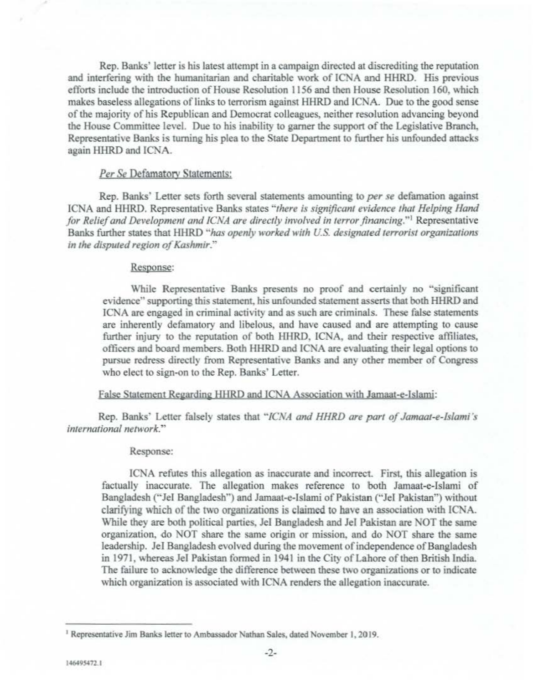Rep. Banks' Jetter is his latest attempt in a campaign directed at discrediting the reputation and interfering with the humanitarian and charitable work of ICNA and HHRD. His previous efforts include the introduction of House Resolution 1156 and then House Resolution 160, which makes baseless allegations of links to terrorism against HHRD and ICNA. Due to the good sense of the majority of his Republican and Democrat colleagues, neither resolution advancing beyond the House Committee level. Due to his inability to garner the support of the Legislative Branch. Representative Banks is turning his plea to the State Department to further his unfounded attacks again HHRD and ICNA.

## *Per Se* Defamatory Statements:

Rep. Banks" Letter sets forth several statements amounting to *per se* defamation against ICNA and HHRD. Representative Banks states *'·there is significant evidence that Helping /land for Relief and Development and ICNA are directly involved in terror financing."'* Representative Banks further states that HHRD "has openly worked with U.S. designated terrorist organizations *in the disputed region of Kashmir.··* 

### Resoonse:

While Representative Banks presents no proof and certainly no "significant evidence" supporting this statement, his unfounded statement asserts that both HHRD and ICNA are engaged in criminal activity and as such are criminals. These false statements are inherently defamatory and libelous, and have caused and are attempting to cause further injury to the reputation of both HHRD. !CNA, and their respective affiliates, officers and board members. Both HHRD and ICNA are evaluating their legal options to pursue redress directly from Representative Banks and any other member of Congress who elect to sign-on to the Rep. Banks' Letter.

## False Statement Regarding HHRD and ICNA Association with Jamaat-e-Islami:

Rep. Banks' Letter falsely states that "ICNA and HHRD are part of Jamaat-e-Islami's *international network."* 

#### Response:

ICNA refutes this allegation as inaccurate and incorrect. First, this allegation is factually inaccurate. The allegation makes reference to both Jamaat-e-Islami of Bangladesh ("JeI Bangladesh") and Jamaat-e-Islami of Pakistan ("JeI Pakistan") without clarifying which of the two organizations is claimed to have an association with ICNA. While they are both political parties. Jei Bangladesh and Jel Pakistan are NOT the same organization, do NOT share the same origin or mission, and do NOT share the same leadership. Jel Bangladesh evolved during the movement of independence of Bangladesh in !971, whereas Jel Pakistan formed in 1941 in the City of Lahore of then British India. The failure to acknowledge the difference between these two organizations or to indicate which organization is associated with ICNA renders the allegation inaccurate.

<sup>&</sup>lt;sup>1</sup> Representative Jim Banks letter to Ambassador Nathan Sales, dated November 1, 2019.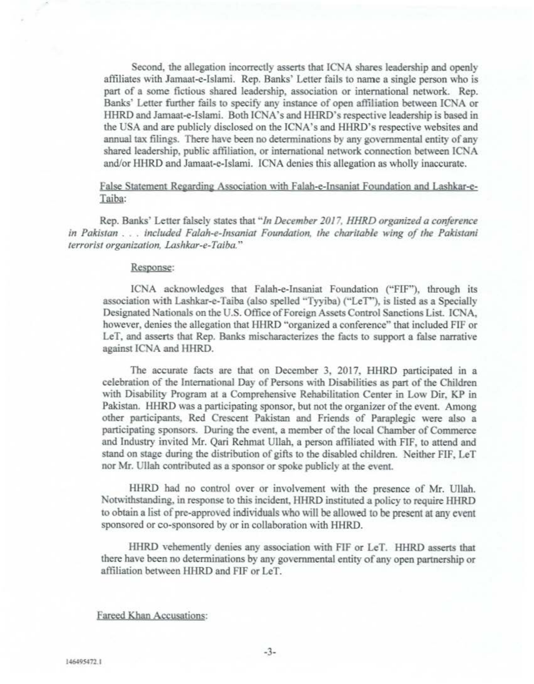Second, the allegation incorrectly assens that ICNA shares leadership and openly affiliates with Jamaat-e-Islami. Rep. Banks' Letter fails to name a single person who is part of a some fictious shared leadership, association or international network. Rep. Banks' Letter further fails to specify any instance of open affiliation between ICNA or IIHRD and Jamaat-e-lslami. Both ICNA's and HHRD's respective leadership is based in the USA and are publicly disclosed on the ICNA's and HHRD's respective websites and annual tax filings. There have been no determinations by any governmental entity of any shared leadership, public affiliation, or international network connection between ICNA and/or HIIRD and Jamaat-e-Islami. ICNA denies this allegation as wholly inaccurate.

## False Statement Regarding Association with Falab-e-lnsaniat Foundation and Lashkar-e-Taiba:

Rep. Banks' Letter falsely states that *··Jn December 2017, HHRD organized a conference in Pakistan* ... *included Falah-e-/nsaniar Foundalion, the charitable wing of the Pakistani terrorist organization, Lashkar-e-Taiba."* 

#### Response:

ICNA acknowledges that Falab-e-Insaniat Foundation ("FlF"), through its association with Lashkar-e-Taiba (also spelled "Tyyiba) ("LeT"), is listed as a Specially Designated Nationals on the U.S. Office of Foreign Assets Control Sanctions List- ICNA, however, denies the allegation that HHRD "organized a conference" that included FIF or LeT, and asserts that Rep. Banks mischaracterizes the facts to support a false narrative against ICNA and HHRD.

The accurate facts are that on December 3, 2017, HHRD participated in a celebration of the International Day of Persons with Disabilities as part of the Children with Disability Program at a Comprehensive Rehabilitation Center in Low Dir, KP in Pakistan. HHRD was a participating sponsor, but not the organizer of the event. Among other participants. Red Crescent Pakistan and Friends of Paraplegic were also a participating sponsors. During the event, a member of the local Chamber of Commerce and Industry invited Mr. Qari Rehmat Ullab, a person affiliated with FIF, to attend and stand on stage during the distribution of gifts to the disabled children. Neither FIF, LeT nor Mr. Ullab contributed as a sponsor or spoke publicly at the event.

HHRD had no control over or involvement with the presence of Mr. Ullah. Notwithstanding, in response to this incident, IIHRD instituted a policy to require HHRD to obtain a list of pre-approved individuals who will be allowed 10 be present at any event sponsored or co-sponsored by or in collaboration with HHRD.

HHRD vehemently denies any association with FIF or LeT. HHRD asserts that there have been no determinations by any governmental entity of any open partnership or affiliation between HHRD and FIF or LeT.

## fareed Khan Accusations: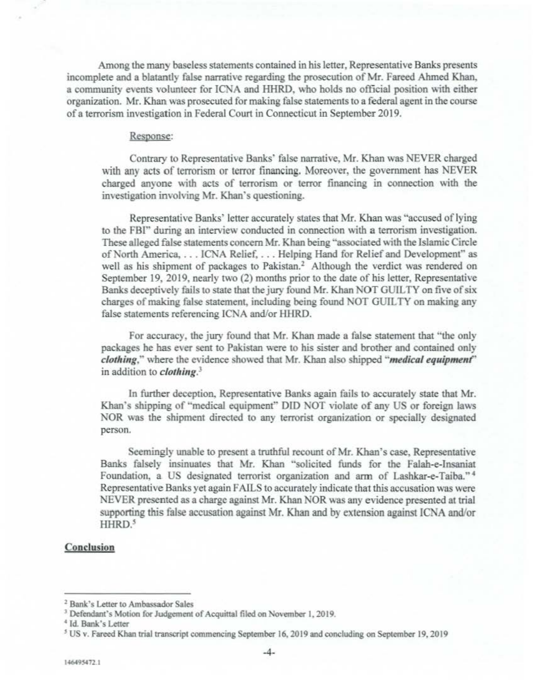Among the many baseless statements contained in his letter, Representative Banks presents incomplete and a blatantly false narrative regarding the prosecution of Mr. Farced Ahmed Khan, a community events volunteer for ICNA and HHRD, who holds no official position with either organization. Mr. Khan was prosecuted for making false statements to a federal agent in the course of a terrorism investigation in Federal Court in Connecticut in September 2019.

#### Response:

Contrary to Representative Banks' false narrative, Mr. Khan was NEVER charged with any acts of terrorism or terror financing. Moreover, the government has NEVER charged anyone with acts of terrorism or terror financing in connection with the investigation involving Mr. Khan's questioning.

Representative Banks' letter accurately states that Mr. Khan was " accused of lying to the FBI" during an interview conducted in connection with a terrorism investigation. These alleged false statements concern Mr. Khan being "associated with the Islamic Circle of North America, ... ICNA Relief, ... Helping Hand for Relief and Development"" as well as his shipment of packages to Pakistan.<sup>2</sup> Although the verdict was rendered on September 19, 2019, nearly two (2) months prior to the date of his letter, Representative Banks deceptively fails to state that the jury found Mr. Khan NOT GUILTY on five of six charges of making false statement, including being found NOT GUlL TY on making any false statements referencing ICNA and/or HHRD.

For accuracy, the jury found that Mr. Khan made a false statement that "the only packages he has ever sent to Pakistan were to his sister and brother and contained only *clothing,"* where the evidence showed that Mr. Khan also shipped *'·medical equipment"*  in addition to *clothing*.<sup>3</sup>

In further deception, Representative Banks again fails to accurately state that Mr. Khan's shipping of "medical equipment" DID NOT violate of any US or foreign laws NOR was the shipment directed to any terrorist organization or specially designated person.

Seemingly unable to present a truthful recount of Mr. Khan's case. Representative Banks falsely insinuates that Mr. Khan "solicited funds for the Falah-e-Insaniat Foundation, a US designated terrorist organization and arm of Lashkar-e-Taiba." <sup>4</sup> Representative Banks yet again FAILS to accurately indicate that this accusation was were NEVER presented as a charge against Mr. Khan NOR was any evidence presented at trial supporting this false accusation against Mr. Khan and by extension against ICNA and/or HHRD.<sup>5</sup>

#### Conclusion

 $3$  Bank's Letter to Ambassador Sales<br> $3$  Defendant's Motion for Judgement of Acquittal filed on November 1, 2019.

<sup>&</sup>lt;sup>4</sup> Id. Bank's Letter

<sup>&</sup>lt;sup>5</sup> US v. Fareed Khan trial transcript commencing September 16, 2019 and concluding on September 19, 2019